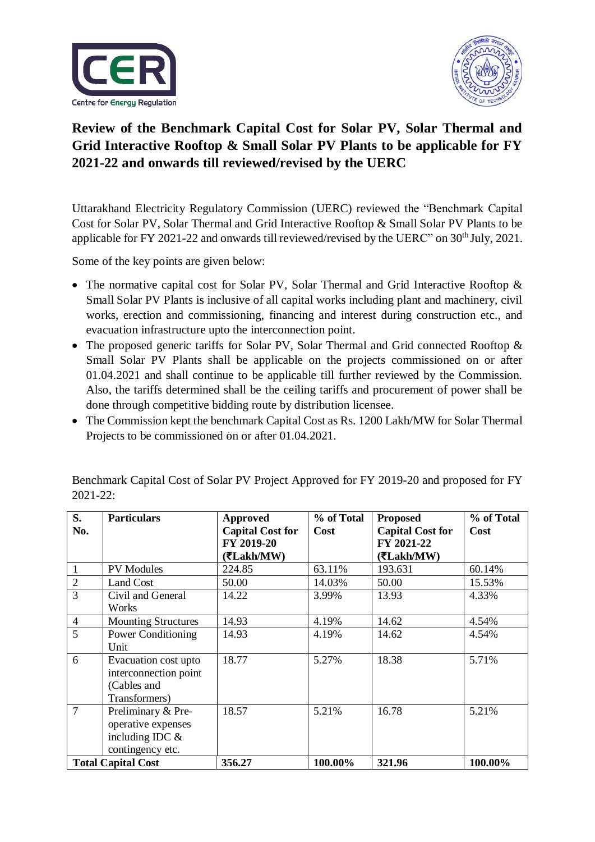



## **Review of the Benchmark Capital Cost for Solar PV, Solar Thermal and Grid Interactive Rooftop & Small Solar PV Plants to be applicable for FY 2021-22 and onwards till reviewed/revised by the UERC**

Uttarakhand Electricity Regulatory Commission (UERC) reviewed the "Benchmark Capital Cost for Solar PV, Solar Thermal and Grid Interactive Rooftop & Small Solar PV Plants to be applicable for FY 2021-22 and onwards till reviewed/revised by the UERC" on 30<sup>th</sup> July, 2021.

Some of the key points are given below:

- The normative capital cost for Solar PV, Solar Thermal and Grid Interactive Rooftop & Small Solar PV Plants is inclusive of all capital works including plant and machinery, civil works, erection and commissioning, financing and interest during construction etc., and evacuation infrastructure upto the interconnection point.
- The proposed generic tariffs for Solar PV, Solar Thermal and Grid connected Rooftop & Small Solar PV Plants shall be applicable on the projects commissioned on or after 01.04.2021 and shall continue to be applicable till further reviewed by the Commission. Also, the tariffs determined shall be the ceiling tariffs and procurement of power shall be done through competitive bidding route by distribution licensee.
- The Commission kept the benchmark Capital Cost as Rs. 1200 Lakh/MW for Solar Thermal Projects to be commissioned on or after 01.04.2021.

| S.<br>No.                 | <b>Particulars</b>         | <b>Approved</b><br><b>Capital Cost for</b> | % of Total<br><b>Cost</b> | <b>Proposed</b><br><b>Capital Cost for</b> | % of Total<br>Cost |
|---------------------------|----------------------------|--------------------------------------------|---------------------------|--------------------------------------------|--------------------|
|                           |                            | FY 2019-20                                 |                           | FY 2021-22                                 |                    |
|                           |                            | (₹Lakh/MW)                                 |                           | (₹Lakh/MW)                                 |                    |
|                           | <b>PV</b> Modules          | 224.85                                     | 63.11%                    | 193.631                                    | 60.14%             |
| $\overline{2}$            | Land Cost                  | 50.00                                      | 14.03%                    | 50.00                                      | 15.53%             |
| $\overline{3}$            | Civil and General          | 14.22                                      | 3.99%                     | 13.93                                      | 4.33%              |
|                           | Works                      |                                            |                           |                                            |                    |
| $\overline{4}$            | <b>Mounting Structures</b> | 14.93                                      | 4.19%                     | 14.62                                      | 4.54%              |
| 5                         | <b>Power Conditioning</b>  | 14.93                                      | 4.19%                     | 14.62                                      | 4.54%              |
|                           | Unit                       |                                            |                           |                                            |                    |
| 6                         | Evacuation cost upto       | 18.77                                      | 5.27%                     | 18.38                                      | 5.71%              |
|                           | interconnection point      |                                            |                           |                                            |                    |
|                           | (Cables and                |                                            |                           |                                            |                    |
|                           | Transformers)              |                                            |                           |                                            |                    |
| $\overline{7}$            | Preliminary & Pre-         | 18.57                                      | 5.21%                     | 16.78                                      | 5.21%              |
|                           | operative expenses         |                                            |                           |                                            |                    |
|                           | including IDC $&$          |                                            |                           |                                            |                    |
|                           | contingency etc.           |                                            |                           |                                            |                    |
| <b>Total Capital Cost</b> |                            | 356.27                                     | 100.00%                   | 321.96                                     | 100.00%            |

Benchmark Capital Cost of Solar PV Project Approved for FY 2019-20 and proposed for FY 2021-22: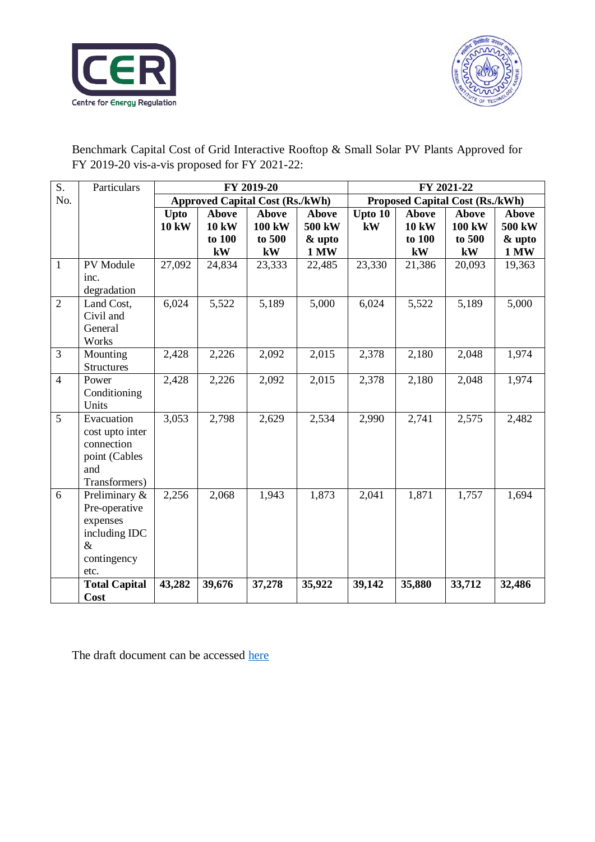



Benchmark Capital Cost of Grid Interactive Rooftop & Small Solar PV Plants Approved for FY 2019-20 vis-a-vis proposed for FY 2021-22:

| S.             | Particulars               | FY 2019-20                             |              |               | FY 2021-22                      |         |              |              |             |
|----------------|---------------------------|----------------------------------------|--------------|---------------|---------------------------------|---------|--------------|--------------|-------------|
| No.            |                           | <b>Approved Capital Cost (Rs./kWh)</b> |              |               | Proposed Capital Cost (Rs./kWh) |         |              |              |             |
|                |                           | Upto                                   | <b>Above</b> | <b>Above</b>  | <b>Above</b>                    | Upto 10 | <b>Above</b> | <b>Above</b> | Above       |
|                |                           | <b>10 kW</b>                           | <b>10 kW</b> | <b>100 kW</b> | 500 kW                          | kW      | <b>10 kW</b> | 100 kW       | 500 kW      |
|                |                           |                                        | to 100       | to 500        | & upto                          |         | to 100       | to 500       | & upto      |
|                |                           |                                        | kW           | kW            | <b>1 MW</b>                     |         | kW           | kW           | <b>1 MW</b> |
| $\mathbf{1}$   | PV Module                 | 27,092                                 | 24,834       | 23,333        | 22,485                          | 23,330  | 21,386       | 20,093       | 19,363      |
|                | inc.                      |                                        |              |               |                                 |         |              |              |             |
|                | degradation               |                                        |              |               |                                 |         |              |              |             |
| $\overline{2}$ | Land Cost,                | 6,024                                  | 5,522        | 5,189         | 5,000                           | 6,024   | 5,522        | 5,189        | 5,000       |
|                | Civil and                 |                                        |              |               |                                 |         |              |              |             |
|                | General                   |                                        |              |               |                                 |         |              |              |             |
|                | Works                     |                                        |              |               |                                 |         |              |              |             |
| $\overline{3}$ | Mounting                  | 2,428                                  | 2,226        | 2,092         | 2,015                           | 2,378   | 2,180        | 2,048        | 1,974       |
|                | <b>Structures</b>         |                                        |              |               |                                 |         |              |              |             |
| $\overline{4}$ | Power                     | 2,428                                  | 2,226        | 2,092         | 2,015                           | 2,378   | 2,180        | 2,048        | 1,974       |
|                | Conditioning              |                                        |              |               |                                 |         |              |              |             |
|                | Units                     |                                        |              |               |                                 |         |              |              |             |
| 5              | Evacuation                | 3,053                                  | 2,798        | 2,629         | 2,534                           | 2,990   | 2,741        | 2,575        | 2,482       |
|                | cost upto inter           |                                        |              |               |                                 |         |              |              |             |
|                | connection                |                                        |              |               |                                 |         |              |              |             |
|                | point (Cables             |                                        |              |               |                                 |         |              |              |             |
|                | and                       |                                        |              |               |                                 |         |              |              |             |
| 6              | Transformers)             | 2,256                                  | 2,068        | 1,943         | 1,873                           | 2,041   | 1,871        | 1,757        | 1,694       |
|                | Preliminary &             |                                        |              |               |                                 |         |              |              |             |
|                | Pre-operative<br>expenses |                                        |              |               |                                 |         |              |              |             |
|                | including IDC             |                                        |              |               |                                 |         |              |              |             |
|                | $\&$                      |                                        |              |               |                                 |         |              |              |             |
|                | contingency               |                                        |              |               |                                 |         |              |              |             |
|                | etc.                      |                                        |              |               |                                 |         |              |              |             |
|                | <b>Total Capital</b>      | 43,282                                 | 39,676       | 37,278        | 35,922                          | 39,142  | 35,880       | 33,712       | 32,486      |
|                | Cost                      |                                        |              |               |                                 |         |              |              |             |

The draft document can be accessed [here](https://cer.iitk.ac.in/odf_assets/upload_files/Draft_Order_on_benchmark_capital_cost.pdf)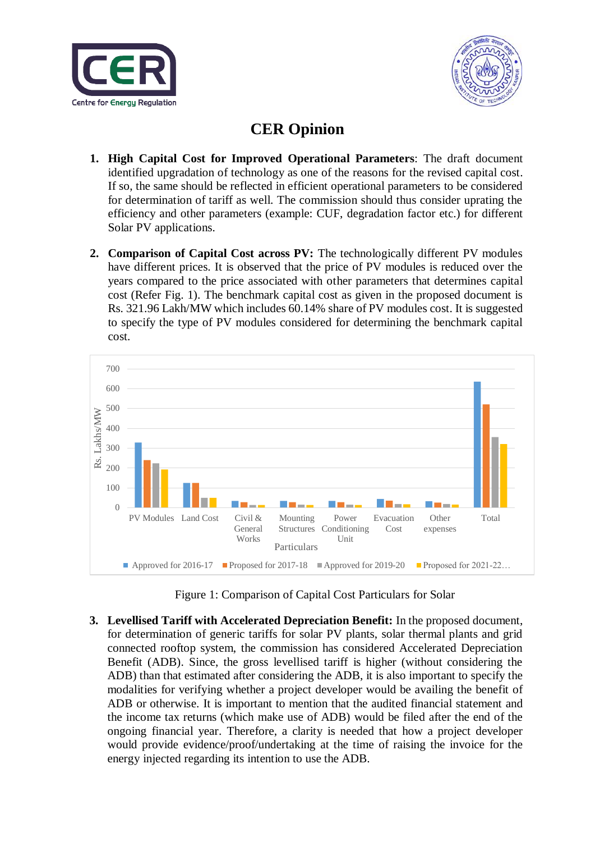



## **CER Opinion**

- **1. High Capital Cost for Improved Operational Parameters**: The draft document identified upgradation of technology as one of the reasons for the revised capital cost. If so, the same should be reflected in efficient operational parameters to be considered for determination of tariff as well. The commission should thus consider uprating the efficiency and other parameters (example: CUF, degradation factor etc.) for different Solar PV applications.
- **2. Comparison of Capital Cost across PV:** The technologically different PV modules have different prices. It is observed that the price of PV modules is reduced over the years compared to the price associated with other parameters that determines capital cost (Refer Fig. 1). The benchmark capital cost as given in the proposed document is Rs. 321.96 Lakh/MW which includes 60.14% share of PV modules cost. It is suggested to specify the type of PV modules considered for determining the benchmark capital cost.



Figure 1: Comparison of Capital Cost Particulars for Solar

**3. Levellised Tariff with Accelerated Depreciation Benefit:** In the proposed document, for determination of generic tariffs for solar PV plants, solar thermal plants and grid connected rooftop system, the commission has considered Accelerated Depreciation Benefit (ADB). Since, the gross levellised tariff is higher (without considering the ADB) than that estimated after considering the ADB, it is also important to specify the modalities for verifying whether a project developer would be availing the benefit of ADB or otherwise. It is important to mention that the audited financial statement and the income tax returns (which make use of ADB) would be filed after the end of the ongoing financial year. Therefore, a clarity is needed that how a project developer would provide evidence/proof/undertaking at the time of raising the invoice for the energy injected regarding its intention to use the ADB.